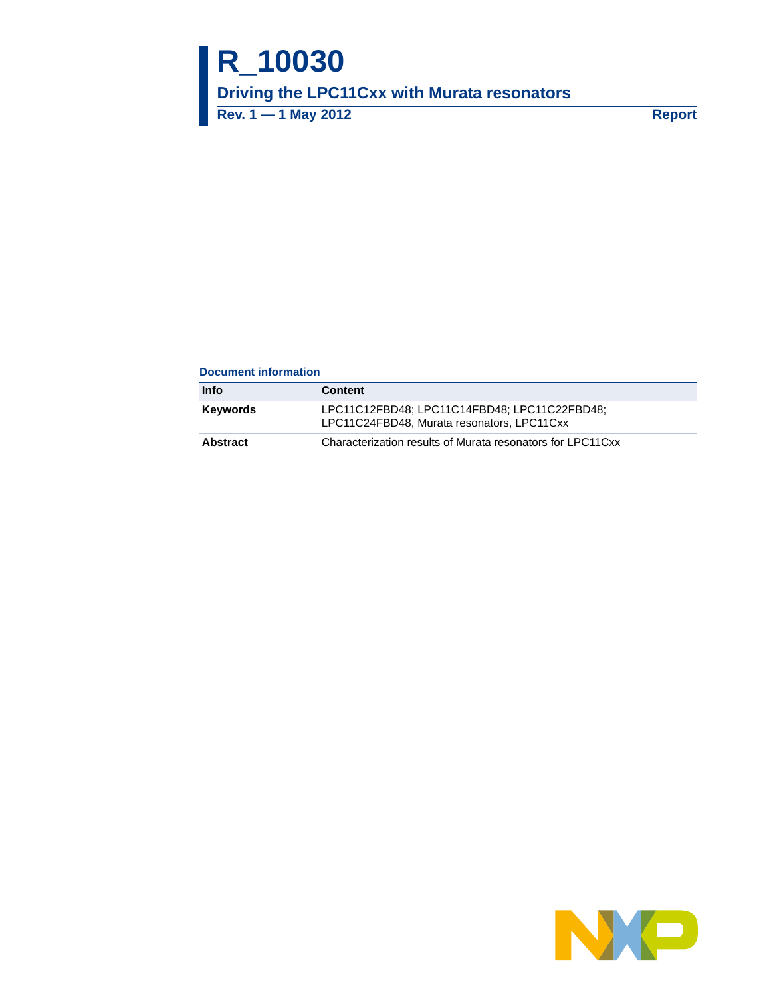# **R\_10030 Driving the LPC11Cxx with Murata resonators Rev. 1 — 1 May 2012 Report**

#### **Document information**

| Info     | <b>Content</b>                                                                             |
|----------|--------------------------------------------------------------------------------------------|
| Kevwords | LPC11C12FBD48; LPC11C14FBD48; LPC11C22FBD48;<br>LPC11C24FBD48, Murata resonators, LPC11Cxx |
| Abstract | Characterization results of Murata resonators for LPC11Cxx                                 |
|          |                                                                                            |

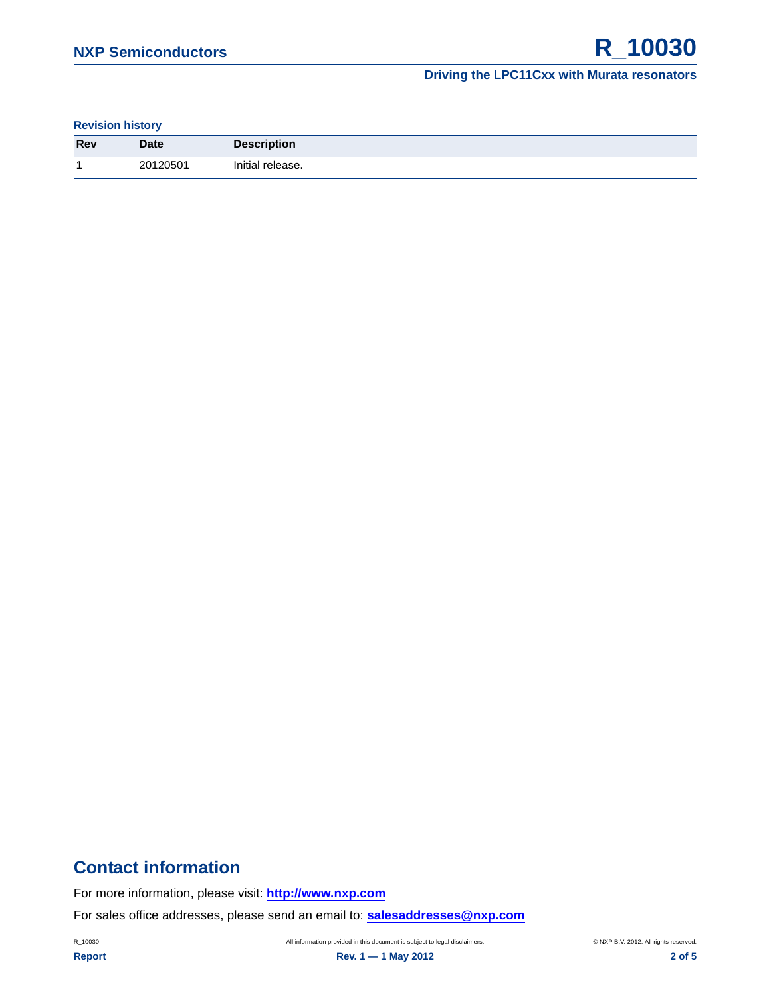#### **Driving the LPC11Cxx with Murata resonators**

**Revision history**

| <b>Rev</b> | <b>Date</b> | <b>Description</b> |
|------------|-------------|--------------------|
| ×.         | 20120501    | Initial release.   |

# **Contact information**

For more information, please visit: **http://www.nxp.com**

For sales office addresses, please send an email to: **salesaddresses@nxp.com**

R\_10030 **All information provided in this document is subject to legal disclaimers.** © NXP B.V. 2012. All rights reserved.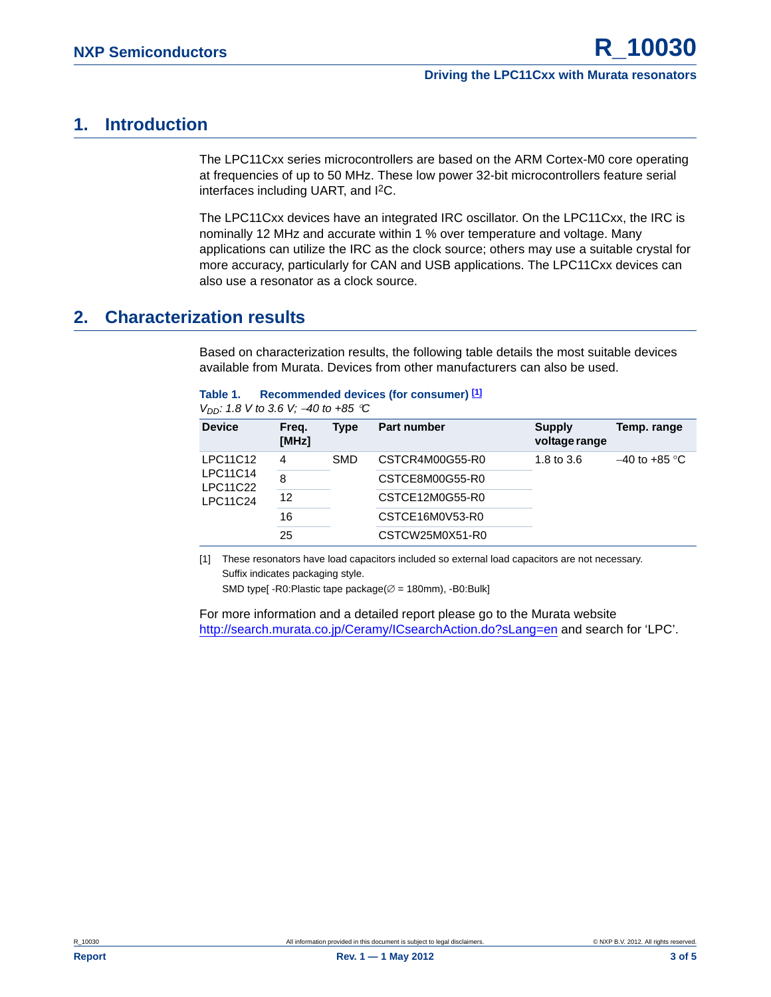#### **Driving the LPC11Cxx with Murata resonators**

## <span id="page-2-1"></span>**1. Introduction**

The LPC11Cxx series microcontrollers are based on the ARM Cortex-M0 core operating at frequencies of up to 50 MHz. These low power 32-bit microcontrollers feature serial interfaces including UART, and I2C.

The LPC11Cxx devices have an integrated IRC oscillator. On the LPC11Cxx, the IRC is nominally 12 MHz and accurate within 1 % over temperature and voltage. Many applications can utilize the IRC as the clock source; others may use a suitable crystal for more accuracy, particularly for CAN and USB applications. The LPC11Cxx devices can also use a resonator as a clock source.

### <span id="page-2-2"></span>**2. Characterization results**

Based on characterization results, the following table details the most suitable devices available from Murata. Devices from other manufacturers can also be used.

| Recommended devices (for consumer) [1] |
|----------------------------------------|
|                                        |

| $V_{DD}$ : 1.8 V to 3.6 V; -40 to +85 °C |  |
|------------------------------------------|--|
|------------------------------------------|--|

| <b>Device</b>               | Freq.<br>[MHz] | Type       | <b>Part number</b> | <b>Supply</b><br>voltage range | Temp. range     |  |
|-----------------------------|----------------|------------|--------------------|--------------------------------|-----------------|--|
| LPC11C12                    | 4              | <b>SMD</b> | CSTCR4M00G55-R0    | 1.8 to 3.6                     | $-40$ to +85 °C |  |
| <b>LPC11C14</b><br>LPC11C22 | 8              |            | CSTCE8M00G55-R0    |                                |                 |  |
| <b>LPC11C24</b>             | 12             |            | CSTCE12M0G55-R0    |                                |                 |  |
|                             | 16             |            | CSTCE16M0V53-R0    |                                |                 |  |
|                             | 25             |            | CSTCW25M0X51-R0    |                                |                 |  |
|                             |                |            |                    |                                |                 |  |

<span id="page-2-0"></span>[1] These resonators have load capacitors included so external load capacitors are not necessary. Suffix indicates packaging style.

SMD type[ -R0:Plastic tape package( $\varnothing$  = 180mm), -B0:Bulk]

For more information and a detailed report please go to the Murata website [http://search.murata.co.jp/Ceramy/ICsearchAction.do?sLang=en](http://www.nxp.com/redirect/search.murata.co.jp) and search for 'LPC'.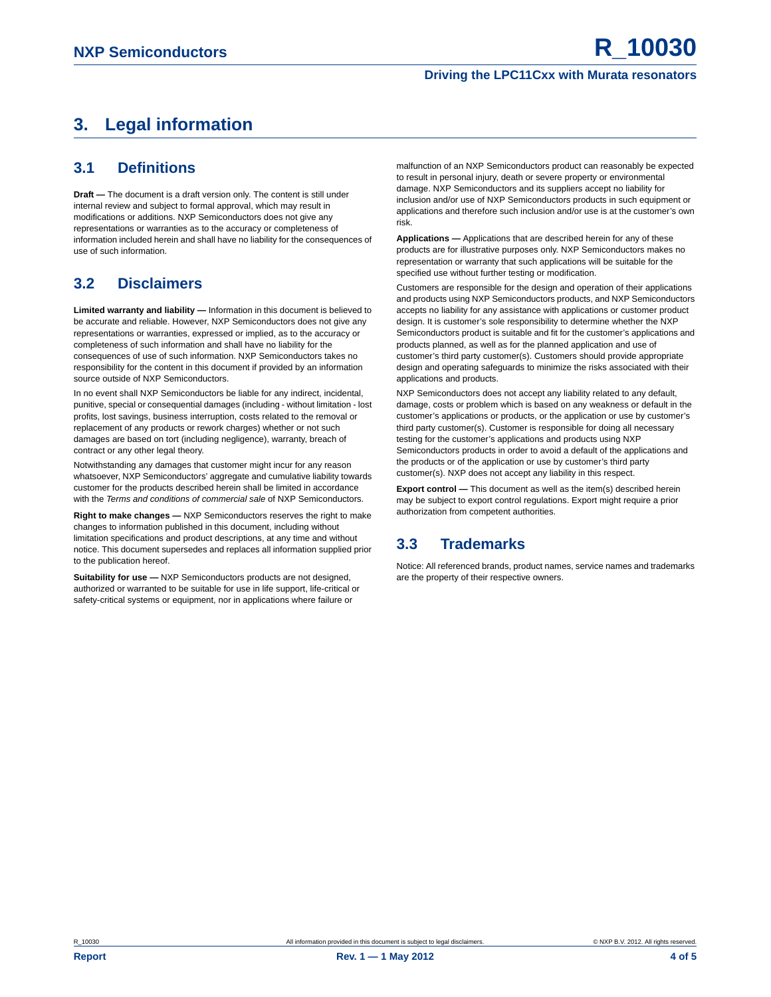#### **Driving the LPC11Cxx with Murata resonators**

# <span id="page-3-0"></span>**3. Legal information**

### <span id="page-3-1"></span>**3.1 Definitions**

**Draft —** The document is a draft version only. The content is still under internal review and subject to formal approval, which may result in modifications or additions. NXP Semiconductors does not give any representations or warranties as to the accuracy or completeness of information included herein and shall have no liability for the consequences of use of such information.

### <span id="page-3-2"></span>**3.2 Disclaimers**

**Limited warranty and liability —** Information in this document is believed to be accurate and reliable. However, NXP Semiconductors does not give any representations or warranties, expressed or implied, as to the accuracy or completeness of such information and shall have no liability for the consequences of use of such information. NXP Semiconductors takes no responsibility for the content in this document if provided by an information source outside of NXP Semiconductors.

In no event shall NXP Semiconductors be liable for any indirect, incidental, punitive, special or consequential damages (including - without limitation - lost profits, lost savings, business interruption, costs related to the removal or replacement of any products or rework charges) whether or not such damages are based on tort (including negligence), warranty, breach of contract or any other legal theory.

Notwithstanding any damages that customer might incur for any reason whatsoever, NXP Semiconductors' aggregate and cumulative liability towards customer for the products described herein shall be limited in accordance with the *Terms and conditions of commercial sale* of NXP Semiconductors.

**Right to make changes —** NXP Semiconductors reserves the right to make changes to information published in this document, including without limitation specifications and product descriptions, at any time and without notice. This document supersedes and replaces all information supplied prior to the publication hereof.

**Suitability for use —** NXP Semiconductors products are not designed, authorized or warranted to be suitable for use in life support, life-critical or safety-critical systems or equipment, nor in applications where failure or

malfunction of an NXP Semiconductors product can reasonably be expected to result in personal injury, death or severe property or environmental damage. NXP Semiconductors and its suppliers accept no liability for inclusion and/or use of NXP Semiconductors products in such equipment or applications and therefore such inclusion and/or use is at the customer's own risk.

**Applications —** Applications that are described herein for any of these products are for illustrative purposes only. NXP Semiconductors makes no representation or warranty that such applications will be suitable for the specified use without further testing or modification.

Customers are responsible for the design and operation of their applications and products using NXP Semiconductors products, and NXP Semiconductors accepts no liability for any assistance with applications or customer product design. It is customer's sole responsibility to determine whether the NXP Semiconductors product is suitable and fit for the customer's applications and products planned, as well as for the planned application and use of customer's third party customer(s). Customers should provide appropriate design and operating safeguards to minimize the risks associated with their applications and products.

NXP Semiconductors does not accept any liability related to any default, damage, costs or problem which is based on any weakness or default in the customer's applications or products, or the application or use by customer's third party customer(s). Customer is responsible for doing all necessary testing for the customer's applications and products using NXP Semiconductors products in order to avoid a default of the applications and the products or of the application or use by customer's third party customer(s). NXP does not accept any liability in this respect.

**Export control —** This document as well as the item(s) described herein may be subject to export control regulations. Export might require a prior authorization from competent authorities.

### <span id="page-3-3"></span>**3.3 Trademarks**

Notice: All referenced brands, product names, service names and trademarks are the property of their respective owners.